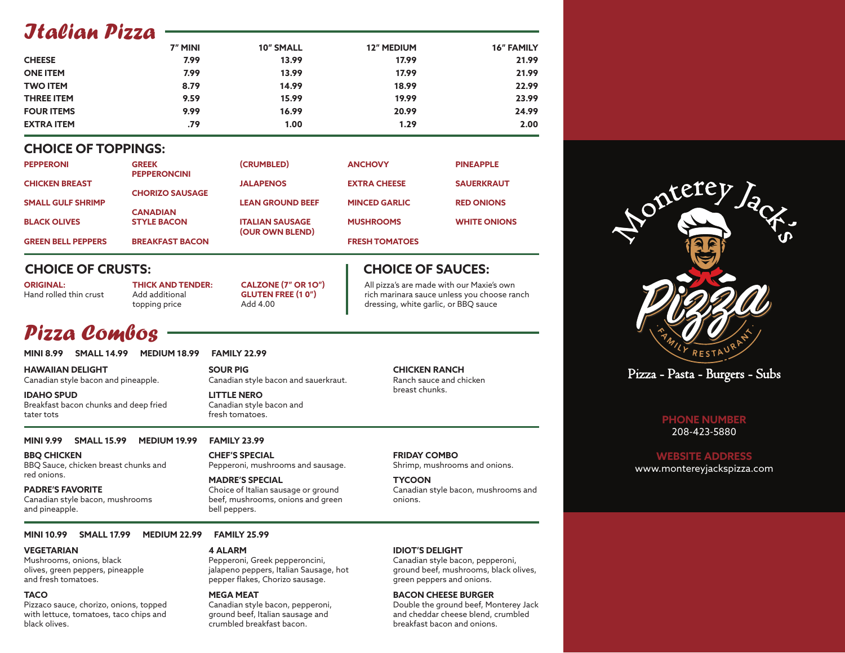## *Italian Pizza*

|                   | 7" MINI | <b>10" SMALL</b> | <b>12" MEDIUM</b> | <b>16" FAMILY</b> |
|-------------------|---------|------------------|-------------------|-------------------|
| <b>CHEESE</b>     | 7.99    | 13.99            | 17.99             | 21.99             |
| <b>ONE ITEM</b>   | 7.99    | 13.99            | 17.99             | 21.99             |
| <b>TWO ITEM</b>   | 8.79    | 14.99            | 18.99             | 22.99             |
| <b>THREE ITEM</b> | 9.59    | 15.99            | 19.99             | 23.99             |
| <b>FOUR ITEMS</b> | 9.99    | 16.99            | 20.99             | 24.99             |
| <b>EXTRA ITEM</b> | .79     | 1.00             | 1.29              | 2.00              |

### **CHOICE OF TOPPINGS:**

| <b>PEPPERONI</b>          | <b>GREEK</b><br><b>PEPPERONCINI</b> | (CRUMBLED)              | <b>ANCHOVY</b>        | <b>PINEAPPLE</b>    |
|---------------------------|-------------------------------------|-------------------------|-----------------------|---------------------|
| <b>CHICKEN BREAST</b>     | <b>CHORIZO SAUSAGE</b>              | <b>JALAPENOS</b>        | <b>EXTRA CHEESE</b>   | <b>SAUERKRAUT</b>   |
| <b>SMALL GULF SHRIMP</b>  | <b>CANADIAN</b>                     | <b>LEAN GROUND BEEF</b> | <b>MINCED GARLIC</b>  | <b>RED ONIONS</b>   |
| <b>BLACK OLIVES</b>       | <b>STYLE BACON</b>                  | <b>ITALIAN SAUSAGE</b>  | <b>MUSHROOMS</b>      | <b>WHITE ONIONS</b> |
| <b>GREEN BELL PEPPERS</b> | <b>BREAKFAST BACON</b>              | (OUR OWN BLEND)         | <b>FRESH TOMATOES</b> |                     |

### **CHOICE OF CRUSTS:**

**ORIGINAL:** Hand rolled thin crust **THICK AND TENDER:** Add additional topping price **CALZONE (7" OR 1O") GLUTEN FREE (1 0")** Add 4.00

# *Pizza Combos*

**MINI 8.99 SMALL 14.99 MEDIUM 18.99 FAMILY 22.99**

**HAWAIIAN DELIGHT** Canadian style bacon and pineapple.

**IDAHO SPUD** Breakfast bacon chunks and deep fried tater tots

**SOUR PIG** Canadian style bacon and sauerkraut. **LITTLE NERO**

Canadian style bacon and fresh tomatoes.

Pepperoni, mushrooms and sausage.

Choice of Italian sausage or ground beef, mushrooms, onions and green

#### **CHICKEN RANCH** Ranch sauce and chicken breast chunks.

All pizza's are made with our Maxie's own rich marinara sauce unless you choose ranch dressing, white garlic, or BBQ sauce

**CHOICE OF SAUCES:**

**MINI 9.99 SMALL 15.99 MEDIUM 19.99 FAMILY 23.99**

**BBQ CHICKEN** BBQ Sauce, chicken breast chunks and red onions.

#### **PADRE'S FAVORITE** Canadian style bacon, mushrooms

and pineapple.

#### **MINI 10.99 SMALL 17.99 MEDIUM 22.99 FAMILY 25.99**

#### **VEGETARIAN**

Mushrooms, onions, black olives, green peppers, pineapple and fresh tomatoes.

### **TACO**

Pizzaco sauce, chorizo, onions, topped with lettuce, tomatoes, taco chips and black olives.

#### **4 ALARM**

bell peppers.

**CHEF'S SPECIAL**

**MADRE'S SPECIAL**

Pepperoni, Greek pepperoncini, jalapeno peppers, Italian Sausage, hot pepper flakes, Chorizo sausage.

#### **MEGA MEAT**

Canadian style bacon, pepperoni, ground beef, Italian sausage and crumbled breakfast bacon.

### **IDIOT'S DELIGHT**

**FRIDAY COMBO**

**TYCOON**

onions.

Shrimp, mushrooms and onions.

Canadian style bacon, mushrooms and

Canadian style bacon, pepperoni, ground beef, mushrooms, black olives, green peppers and onions.

### **BACON CHEESE BURGER**

Double the ground beef, Monterey Jack and cheddar cheese blend, crumbled breakfast bacon and onions.



Pizza - Pasta - Burgers - Subs

### **PHONE NUMBER** 208-423-5880

**WEBSITE ADDRESS** www.montereyjackspizza.com